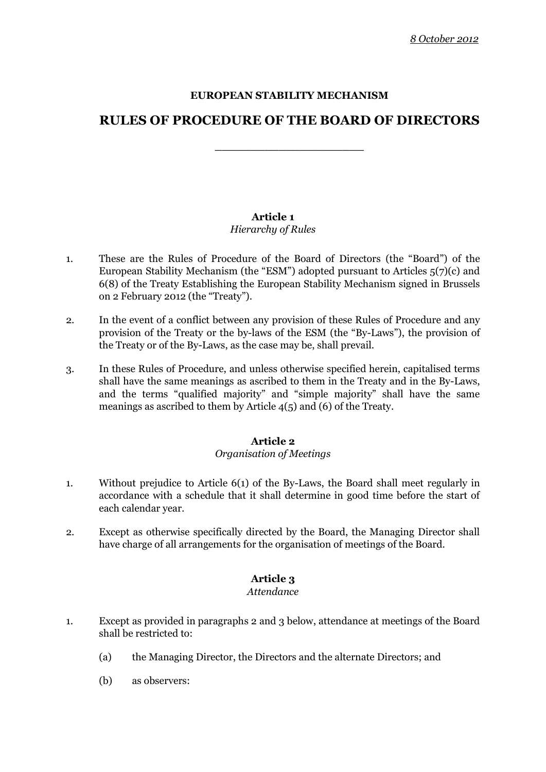# **EUROPEAN STABILITY MECHANISM**

# **RULES OF PROCEDURE OF THE BOARD OF DIRECTORS**

**\_\_\_\_\_\_\_\_\_\_\_\_\_\_\_\_\_\_\_\_\_**

# **Article 1**

# *Hierarchy of Rules*

- 1. These are the Rules of Procedure of the Board of Directors (the "Board") of the European Stability Mechanism (the "ESM") adopted pursuant to Articles 5(7)(c) and 6(8) of the Treaty Establishing the European Stability Mechanism signed in Brussels on 2 February 2012 (the "Treaty").
- 2. In the event of a conflict between any provision of these Rules of Procedure and any provision of the Treaty or the by-laws of the ESM (the "By-Laws"), the provision of the Treaty or of the By-Laws, as the case may be, shall prevail.
- 3. In these Rules of Procedure, and unless otherwise specified herein, capitalised terms shall have the same meanings as ascribed to them in the Treaty and in the By-Laws, and the terms "qualified majority" and "simple majority" shall have the same meanings as ascribed to them by Article 4(5) and (6) of the Treaty.

# **Article 2**

# *Organisation of Meetings*

- 1. Without prejudice to Article 6(1) of the By-Laws, the Board shall meet regularly in accordance with a schedule that it shall determine in good time before the start of each calendar year.
- 2. Except as otherwise specifically directed by the Board, the Managing Director shall have charge of all arrangements for the organisation of meetings of the Board.

# **Article 3**

# *Attendance*

- 1. Except as provided in paragraphs 2 and 3 below, attendance at meetings of the Board shall be restricted to:
	- (a) the Managing Director, the Directors and the alternate Directors; and
	- (b) as observers: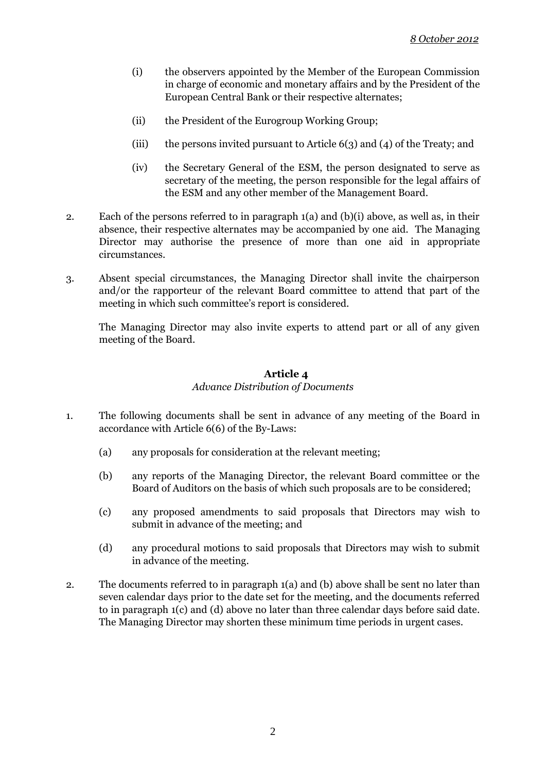- (i) the observers appointed by the Member of the European Commission in charge of economic and monetary affairs and by the President of the European Central Bank or their respective alternates;
- (ii) the President of the Eurogroup Working Group;
- (iii) the persons invited pursuant to Article 6(3) and (4) of the Treaty; and
- (iv) the Secretary General of the ESM, the person designated to serve as secretary of the meeting, the person responsible for the legal affairs of the ESM and any other member of the Management Board.
- 2. Each of the persons referred to in paragraph 1(a) and (b)(i) above, as well as, in their absence, their respective alternates may be accompanied by one aid. The Managing Director may authorise the presence of more than one aid in appropriate circumstances.
- 3. Absent special circumstances, the Managing Director shall invite the chairperson and/or the rapporteur of the relevant Board committee to attend that part of the meeting in which such committee's report is considered.

The Managing Director may also invite experts to attend part or all of any given meeting of the Board.

# **Article 4** *Advance Distribution of Documents*

- 1. The following documents shall be sent in advance of any meeting of the Board in accordance with Article 6(6) of the By-Laws:
	- (a) any proposals for consideration at the relevant meeting;
	- (b) any reports of the Managing Director, the relevant Board committee or the Board of Auditors on the basis of which such proposals are to be considered;
	- (c) any proposed amendments to said proposals that Directors may wish to submit in advance of the meeting; and
	- (d) any procedural motions to said proposals that Directors may wish to submit in advance of the meeting.
- 2. The documents referred to in paragraph 1(a) and (b) above shall be sent no later than seven calendar days prior to the date set for the meeting, and the documents referred to in paragraph 1(c) and (d) above no later than three calendar days before said date. The Managing Director may shorten these minimum time periods in urgent cases.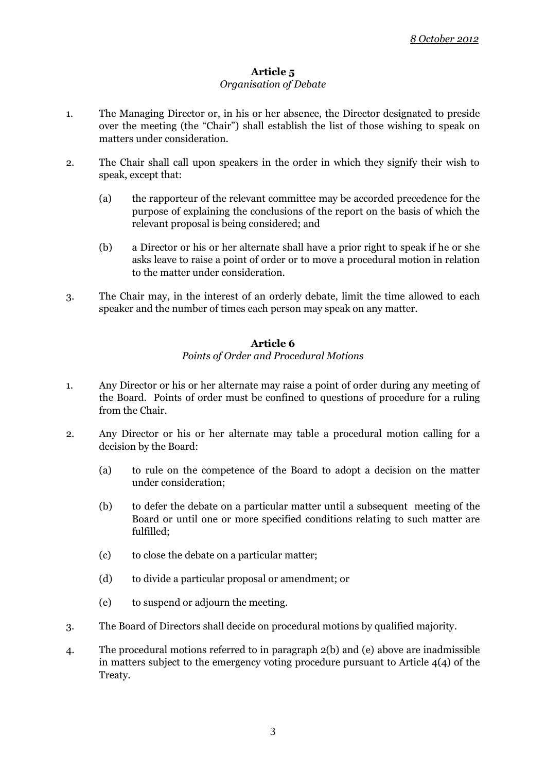# **Article 5**

# *Organisation of Debate*

- 1. The Managing Director or, in his or her absence, the Director designated to preside over the meeting (the "Chair") shall establish the list of those wishing to speak on matters under consideration.
- 2. The Chair shall call upon speakers in the order in which they signify their wish to speak, except that:
	- (a) the rapporteur of the relevant committee may be accorded precedence for the purpose of explaining the conclusions of the report on the basis of which the relevant proposal is being considered; and
	- (b) a Director or his or her alternate shall have a prior right to speak if he or she asks leave to raise a point of order or to move a procedural motion in relation to the matter under consideration.
- 3. The Chair may, in the interest of an orderly debate, limit the time allowed to each speaker and the number of times each person may speak on any matter.

#### **Article 6** *Points of Order and Procedural Motions*

- 1. Any Director or his or her alternate may raise a point of order during any meeting of the Board. Points of order must be confined to questions of procedure for a ruling from the Chair.
- 2. Any Director or his or her alternate may table a procedural motion calling for a decision by the Board:
	- (a) to rule on the competence of the Board to adopt a decision on the matter under consideration;
	- (b) to defer the debate on a particular matter until a subsequent meeting of the Board or until one or more specified conditions relating to such matter are fulfilled;
	- (c) to close the debate on a particular matter;
	- (d) to divide a particular proposal or amendment; or
	- (e) to suspend or adjourn the meeting.
- 3. The Board of Directors shall decide on procedural motions by qualified majority.
- 4. The procedural motions referred to in paragraph 2(b) and (e) above are inadmissible in matters subject to the emergency voting procedure pursuant to Article  $4(4)$  of the Treaty.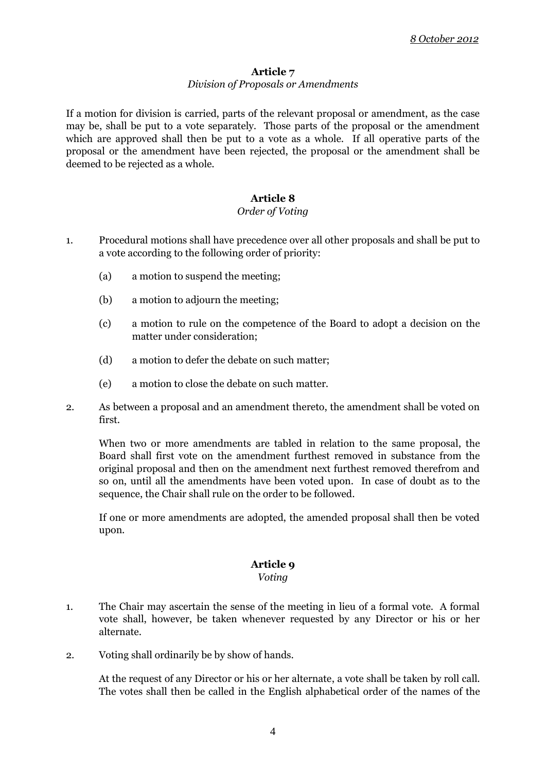# **Article 7**

# *Division of Proposals or Amendments*

If a motion for division is carried, parts of the relevant proposal or amendment, as the case may be, shall be put to a vote separately. Those parts of the proposal or the amendment which are approved shall then be put to a vote as a whole. If all operative parts of the proposal or the amendment have been rejected, the proposal or the amendment shall be deemed to be rejected as a whole.

# **Article 8**

# *Order of Voting*

- 1. Procedural motions shall have precedence over all other proposals and shall be put to a vote according to the following order of priority:
	- (a) a motion to suspend the meeting;
	- (b) a motion to adjourn the meeting;
	- (c) a motion to rule on the competence of the Board to adopt a decision on the matter under consideration;
	- (d) a motion to defer the debate on such matter;
	- (e) a motion to close the debate on such matter.
- 2. As between a proposal and an amendment thereto, the amendment shall be voted on first.

When two or more amendments are tabled in relation to the same proposal, the Board shall first vote on the amendment furthest removed in substance from the original proposal and then on the amendment next furthest removed therefrom and so on, until all the amendments have been voted upon. In case of doubt as to the sequence, the Chair shall rule on the order to be followed.

If one or more amendments are adopted, the amended proposal shall then be voted upon.

# **Article 9**

*Voting*

- 1. The Chair may ascertain the sense of the meeting in lieu of a formal vote. A formal vote shall, however, be taken whenever requested by any Director or his or her alternate.
- 2. Voting shall ordinarily be by show of hands.

At the request of any Director or his or her alternate, a vote shall be taken by roll call. The votes shall then be called in the English alphabetical order of the names of the